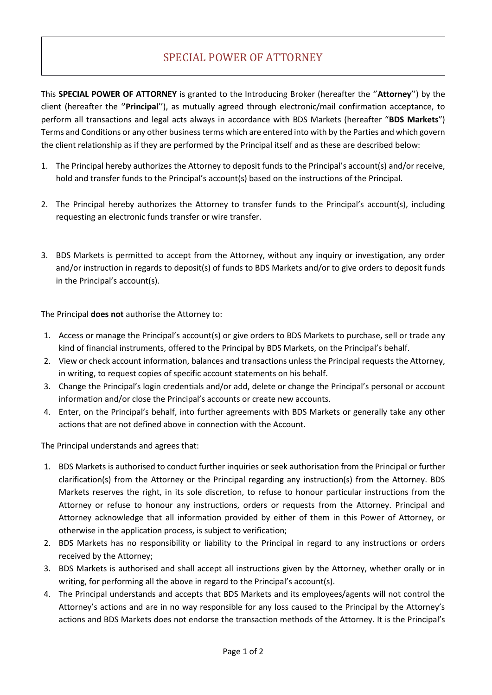# SPECIAL POWER OF ATTORNEY

This **SPECIAL POWER OF ATTORNEY** is granted to the Introducing Broker (hereafter the ''**Attorney**'') by the client (hereafter the '**'Principal**''), as mutually agreed through electronic/mail confirmation acceptance, to perform all transactions and legal acts always in accordance with BDS Markets (hereafter "**BDS Markets**") Terms and Conditions or any other business terms which are entered into with by the Parties and which govern the client relationship as if they are performed by the Principal itself and as these are described below:

- 1. The Principal hereby authorizes the Attorney to deposit funds to the Principal's account(s) and/or receive, hold and transfer funds to the Principal's account(s) based on the instructions of the Principal.
- 2. The Principal hereby authorizes the Attorney to transfer funds to the Principal's account(s), including requesting an electronic funds transfer or wire transfer.
- 3. BDS Markets is permitted to accept from the Attorney, without any inquiry or investigation, any order and/or instruction in regards to deposit(s) of funds to BDS Markets and/or to give orders to deposit funds in the Principal's account(s).

The Principal **does not** authorise the Attorney to:

- 1. Access or manage the Principal's account(s) or give orders to BDS Markets to purchase, sell or trade any kind of financial instruments, offered to the Principal by BDS Markets, on the Principal's behalf.
- 2. View or check account information, balances and transactions unless the Principal requests the Attorney, in writing, to request copies of specific account statements on his behalf.
- 3. Change the Principal's login credentials and/or add, delete or change the Principal's personal or account information and/or close the Principal's accounts or create new accounts.
- 4. Enter, on the Principal's behalf, into further agreements with BDS Markets or generally take any other actions that are not defined above in connection with the Account.

The Principal understands and agrees that:

- 1. BDS Markets is authorised to conduct further inquiries or seek authorisation from the Principal or further clarification(s) from the Attorney or the Principal regarding any instruction(s) from the Attorney. BDS Markets reserves the right, in its sole discretion, to refuse to honour particular instructions from the Attorney or refuse to honour any instructions, orders or requests from the Attorney. Principal and Attorney acknowledge that all information provided by either of them in this Power of Attorney, or otherwise in the application process, is subject to verification;
- 2. BDS Markets has no responsibility or liability to the Principal in regard to any instructions or orders received by the Attorney;
- 3. BDS Markets is authorised and shall accept all instructions given by the Attorney, whether orally or in writing, for performing all the above in regard to the Principal's account(s).
- 4. The Principal understands and accepts that BDS Markets and its employees/agents will not control the Attorney's actions and are in no way responsible for any loss caused to the Principal by the Attorney's actions and BDS Markets does not endorse the transaction methods of the Attorney. It is the Principal's